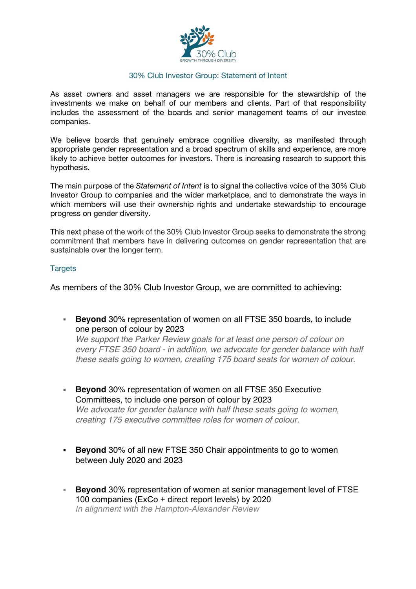

### 30% Club Investor Group: Statement of Intent

As asset owners and asset managers we are responsible for the stewardship of the investments we make on behalf of our members and clients. Part of that responsibility includes the assessment of the boards and senior management teams of our investee companies.

We believe boards that genuinely embrace cognitive diversity, as manifested through appropriate gender representation and a broad spectrum of skills and experience, are more likely to achieve better outcomes for investors. There is increasing research to support this hypothesis.

The main purpose of the *Statement of Intent* is to signal the collective voice of the 30% Club Investor Group to companies and the wider marketplace, and to demonstrate the ways in which members will use their ownership rights and undertake stewardship to encourage progress on gender diversity.

This next phase of the work of the 30% Club Investor Group seeks to demonstrate the strong commitment that members have in delivering outcomes on gender representation that are sustainable over the longer term.

# **Targets**

As members of the 30% Club Investor Group, we are committed to achieving:

§ **Beyond** 30% representation of women on all FTSE 350 boards, to include one person of colour by 2023

*We support the Parker Review goals for at least one person of colour on every FTSE 350 board - in addition, we advocate for gender balance with half these seats going to women, creating 175 board seats for women of colour.*

- § **Beyond** 30% representation of women on all FTSE 350 Executive Committees, to include one person of colour by 2023 *We advocate for gender balance with half these seats going to women, creating 175 executive committee roles for women of colour.*
- **Beyond** 30% of all new FTSE 350 Chair appointments to go to women between July 2020 and 2023
- **Beyond** 30% representation of women at senior management level of FTSE 100 companies (ExCo + direct report levels) by 2020 *In alignment with the Hampton-Alexander Review*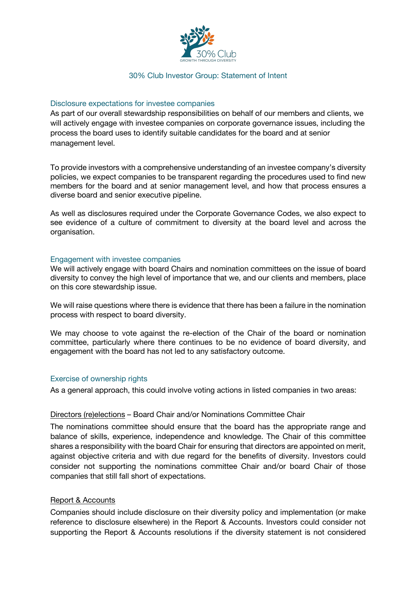

### 30% Club Investor Group: Statement of Intent

### Disclosure expectations for investee companies

As part of our overall stewardship responsibilities on behalf of our members and clients, we will actively engage with investee companies on corporate governance issues, including the process the board uses to identify suitable candidates for the board and at senior management level.

To provide investors with a comprehensive understanding of an investee company's diversity policies, we expect companies to be transparent regarding the procedures used to find new members for the board and at senior management level, and how that process ensures a diverse board and senior executive pipeline.

As well as disclosures required under the Corporate Governance Codes, we also expect to see evidence of a culture of commitment to diversity at the board level and across the organisation.

### Engagement with investee companies

We will actively engage with board Chairs and nomination committees on the issue of board diversity to convey the high level of importance that we, and our clients and members, place on this core stewardship issue.

We will raise questions where there is evidence that there has been a failure in the nomination process with respect to board diversity.

We may choose to vote against the re-election of the Chair of the board or nomination committee, particularly where there continues to be no evidence of board diversity, and engagement with the board has not led to any satisfactory outcome.

#### Exercise of ownership rights

As a general approach, this could involve voting actions in listed companies in two areas:

#### Directors (re)elections – Board Chair and/or Nominations Committee Chair

The nominations committee should ensure that the board has the appropriate range and balance of skills, experience, independence and knowledge. The Chair of this committee shares a responsibility with the board Chair for ensuring that directors are appointed on merit, against objective criteria and with due regard for the benefits of diversity. Investors could consider not supporting the nominations committee Chair and/or board Chair of those companies that still fall short of expectations.

# Report & Accounts

Companies should include disclosure on their diversity policy and implementation (or make reference to disclosure elsewhere) in the Report & Accounts. Investors could consider not supporting the Report & Accounts resolutions if the diversity statement is not considered